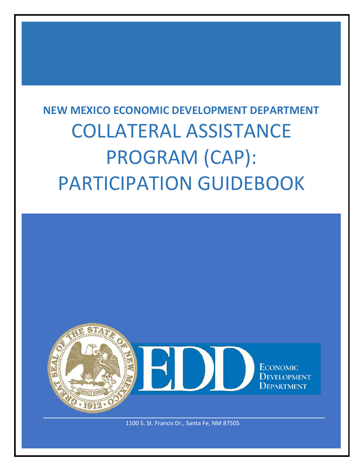# **NEW MEXICO ECONOMIC DEVELOPMENT DEPARTMENT** COLLATERAL ASSISTANCE PROGRAM (CAP): PARTICIPATION GUIDEBOOK

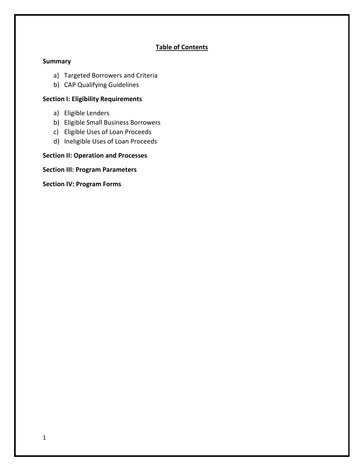## **Table of Contents**

#### **Summary**

- a) Targeted Borrowers and Criteria
- b) CAP Qualifying Guidelines

## **Section I: Eligibility Requirements**

- a) Eligible Lenders
- b) Eligible Small Business Borrowers
- c) Eligible Uses of Loan Proceeds
- d) Ineligible Uses of Loan Proceeds

## **Section II: Operation and Processes**

**Section III: Program Parameters**

**Section IV: Program Forms**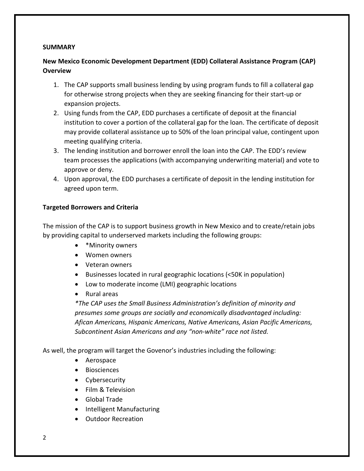#### **SUMMARY**

## **New Mexico Economic Development Department (EDD) Collateral Assistance Program (CAP) Overview**

- 1. The CAP supports small business lending by using program funds to fill a collateral gap for otherwise strong projects when they are seeking financing for their start-up or expansion projects.
- 2. Using funds from the CAP, EDD purchases a certificate of deposit at the financial institution to cover a portion of the collateral gap for the loan. The certificate of deposit may provide collateral assistance up to 50% of the loan principal value, contingent upon meeting qualifying criteria.
- 3. The lending institution and borrower enroll the loan into the CAP. The EDD's review team processes the applications (with accompanying underwriting material) and vote to approve or deny.
- 4. Upon approval, the EDD purchases a certificate of deposit in the lending institution for agreed upon term.

## **Targeted Borrowers and Criteria**

The mission of the CAP is to support business growth in New Mexico and to create/retain jobs by providing capital to underserved markets including the following groups:

- \*Minority owners
- Women owners
- Veteran owners
- Businesses located in rural geographic locations (<50K in population)
- Low to moderate income (LMI) geographic locations
- Rural areas

*\*The CAP uses the Small Business Administration's definition of minority and presumes some groups are socially and economically disadvantaged including: Afican Americans, Hispanic Americans, Native Americans, Asian Pacific Americans, Subcontinent Asian Americans and any "non-white" race not listed.*

As well, the program will target the Govenor's industries including the following:

- Aerospace
- Biosciences
- Cybersecurity
- Film & Television
- Global Trade
- Intelligent Manufacturing
- Outdoor Recreation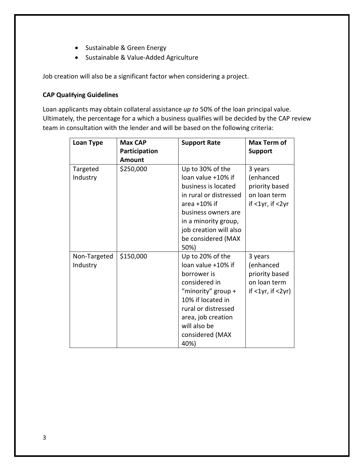- Sustainable & Green Energy
- Sustainable & Value-Added Agriculture

Job creation will also be a significant factor when considering a project.

## **CAP Qualifying Guidelines**

Loan applicants may obtain collateral assistance *up to* 50% of the loan principal value. Ultimately, the percentage for a which a business qualifies will be decided by the CAP review team in consultation with the lender and will be based on the following criteria:

| <b>Loan Type</b>         | <b>Max CAP</b> | <b>Support Rate</b>                                                                                                                                                                                               | Max Term of                                                                       |
|--------------------------|----------------|-------------------------------------------------------------------------------------------------------------------------------------------------------------------------------------------------------------------|-----------------------------------------------------------------------------------|
|                          | Participation  |                                                                                                                                                                                                                   | <b>Support</b>                                                                    |
|                          | Amount         |                                                                                                                                                                                                                   |                                                                                   |
| Targeted<br>Industry     | \$250,000      | Up to 30% of the<br>loan value +10% if<br>business is located<br>in rural or distressed<br>area $+10\%$ if<br>business owners are<br>in a minority group,<br>job creation will also<br>be considered (MAX<br>50%) | 3 years<br>(enhanced<br>priority based<br>on loan term<br>if $<$ 1yr, if $<$ 2yr  |
| Non-Targeted<br>Industry | \$150,000      | Up to 20% of the<br>loan value +10% if<br>borrower is<br>considered in<br>"minority" group +<br>10% if located in<br>rural or distressed<br>area, job creation<br>will also be<br>considered (MAX<br>40%)         | 3 years<br>(enhanced<br>priority based<br>on loan term<br>if $<$ 1yr, if $<$ 2yr) |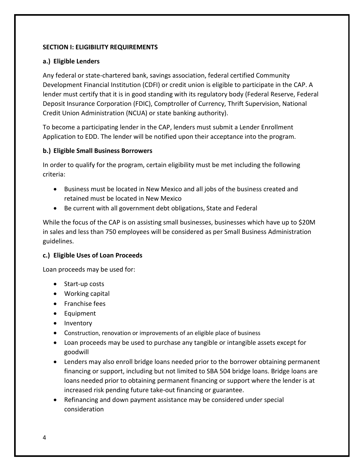## **SECTION I: ELIGIBILITY REQUIREMENTS**

## **a.) Eligible Lenders**

Any federal or state-chartered bank, savings association, federal certified Community Development Financial Institution (CDFI) or credit union is eligible to participate in the CAP. A lender must certify that it is in good standing with its regulatory body (Federal Reserve, Federal Deposit Insurance Corporation (FDIC), Comptroller of Currency, Thrift Supervision, National Credit Union Administration (NCUA) or state banking authority).

To become a participating lender in the CAP, lenders must submit a Lender Enrollment Application to EDD. The lender will be notified upon their acceptance into the program.

## **b.) Eligible Small Business Borrowers**

In order to qualify for the program, certain eligibility must be met including the following criteria:

- Business must be located in New Mexico and all jobs of the business created and retained must be located in New Mexico
- Be current with all government debt obligations, State and Federal

While the focus of the CAP is on assisting small businesses, businesses which have up to \$20M in sales and less than 750 employees will be considered as per Small Business Administration guidelines.

## **c.) Eligible Uses of Loan Proceeds**

Loan proceeds may be used for:

- Start-up costs
- Working capital
- Franchise fees
- Equipment
- Inventory
- Construction, renovation or improvements of an eligible place of business
- Loan proceeds may be used to purchase any tangible or intangible assets except for goodwill
- Lenders may also enroll bridge loans needed prior to the borrower obtaining permanent financing or support, including but not limited to SBA 504 bridge loans. Bridge loans are loans needed prior to obtaining permanent financing or support where the lender is at increased risk pending future take-out financing or guarantee.
- Refinancing and down payment assistance may be considered under special consideration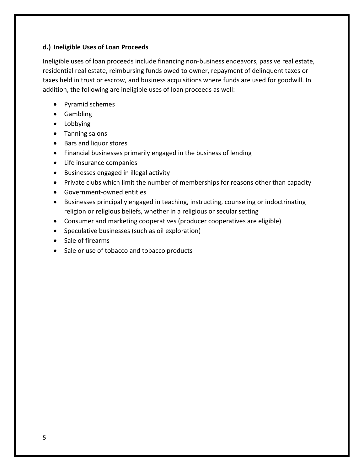## **d.) Ineligible Uses of Loan Proceeds**

Ineligible uses of loan proceeds include financing non-business endeavors, passive real estate, residential real estate, reimbursing funds owed to owner, repayment of delinquent taxes or taxes held in trust or escrow, and business acquisitions where funds are used for goodwill. In addition, the following are ineligible uses of loan proceeds as well:

- Pyramid schemes
- Gambling
- Lobbying
- Tanning salons
- Bars and liquor stores
- Financial businesses primarily engaged in the business of lending
- Life insurance companies
- Businesses engaged in illegal activity
- Private clubs which limit the number of memberships for reasons other than capacity
- Government-owned entities
- Businesses principally engaged in teaching, instructing, counseling or indoctrinating religion or religious beliefs, whether in a religious or secular setting
- Consumer and marketing cooperatives (producer cooperatives are eligible)
- Speculative businesses (such as oil exploration)
- Sale of firearms
- Sale or use of tobacco and tobacco products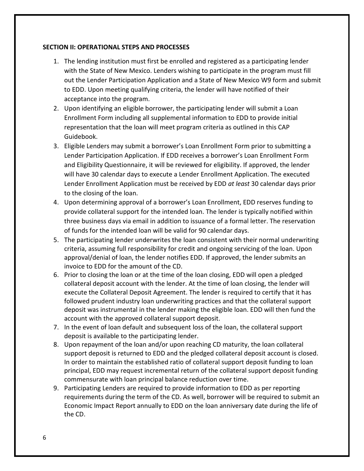#### **SECTION II: OPERATIONAL STEPS AND PROCESSES**

- 1. The lending institution must first be enrolled and registered as a participating lender with the State of New Mexico. Lenders wishing to participate in the program must fill out the Lender Participation Application and a State of New Mexico W9 form and submit to EDD. Upon meeting qualifying criteria, the lender will have notified of their acceptance into the program.
- 2. Upon identifying an eligible borrower, the participating lender will submit a Loan Enrollment Form including all supplemental information to EDD to provide initial representation that the loan will meet program criteria as outlined in this CAP Guidebook.
- 3. Eligible Lenders may submit a borrower's Loan Enrollment Form prior to submitting a Lender Participation Application. If EDD receives a borrower's Loan Enrollment Form and Eligibility Questionnaire, it will be reviewed for eligibility. If approved, the lender will have 30 calendar days to execute a Lender Enrollment Application. The executed Lender Enrollment Application must be received by EDD *at least* 30 calendar days prior to the closing of the loan.
- 4. Upon determining approval of a borrower's Loan Enrollment, EDD reserves funding to provide collateral support for the intended loan. The lender is typically notified within three business days via email in addition to issuance of a formal letter. The reservation of funds for the intended loan will be valid for 90 calendar days.
- 5. The participating lender underwrites the loan consistent with their normal underwriting criteria, assuming full responsibility for credit and ongoing servicing of the loan. Upon approval/denial of loan, the lender notifies EDD. If approved, the lender submits an invoice to EDD for the amount of the CD.
- 6. Prior to closing the loan or at the time of the loan closing, EDD will open a pledged collateral deposit account with the lender. At the time of loan closing, the lender will execute the Collateral Deposit Agreement. The lender is required to certify that it has followed prudent industry loan underwriting practices and that the collateral support deposit was instrumental in the lender making the eligible loan. EDD will then fund the account with the approved collateral support deposit.
- 7. In the event of loan default and subsequent loss of the loan, the collateral support deposit is available to the participating lender.
- 8. Upon repayment of the loan and/or upon reaching CD maturity, the loan collateral support deposit is returned to EDD and the pledged collateral deposit account is closed. In order to maintain the established ratio of collateral support deposit funding to loan principal, EDD may request incremental return of the collateral support deposit funding commensurate with loan principal balance reduction over time.
- 9. Participating Lenders are required to provide information to EDD as per reporting requirements during the term of the CD. As well, borrower will be required to submit an Economic Impact Report annually to EDD on the loan anniversary date during the life of the CD.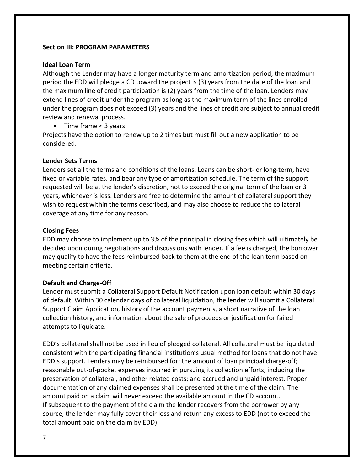#### **Section III: PROGRAM PARAMETERS**

#### **Ideal Loan Term**

Although the Lender may have a longer maturity term and amortization period, the maximum period the EDD will pledge a CD toward the project is (3) years from the date of the loan and the maximum line of credit participation is (2) years from the time of the loan. Lenders may extend lines of credit under the program as long as the maximum term of the lines enrolled under the program does not exceed (3) years and the lines of credit are subject to annual credit review and renewal process.

• Time frame < 3 years

Projects have the option to renew up to 2 times but must fill out a new application to be considered.

#### **Lender Sets Terms**

Lenders set all the terms and conditions of the loans. Loans can be short- or long-term, have fixed or variable rates, and bear any type of amortization schedule. The term of the support requested will be at the lender's discretion, not to exceed the original term of the loan or 3 years, whichever is less. Lenders are free to determine the amount of collateral support they wish to request within the terms described, and may also choose to reduce the collateral coverage at any time for any reason.

#### **Closing Fees**

EDD may choose to implement up to 3% of the principal in closing fees which will ultimately be decided upon during negotiations and discussions with lender. If a fee is charged, the borrower may qualify to have the fees reimbursed back to them at the end of the loan term based on meeting certain criteria.

#### **Default and Charge-Off**

Lender must submit a Collateral Support Default Notification upon loan default within 30 days of default. Within 30 calendar days of collateral liquidation, the lender will submit a Collateral Support Claim Application, history of the account payments, a short narrative of the loan collection history, and information about the sale of proceeds or justification for failed attempts to liquidate.

EDD's collateral shall not be used in lieu of pledged collateral. All collateral must be liquidated consistent with the participating financial institution's usual method for loans that do not have EDD's support. Lenders may be reimbursed for: the amount of loan principal charge-off; reasonable out-of-pocket expenses incurred in pursuing its collection efforts, including the preservation of collateral, and other related costs; and accrued and unpaid interest. Proper documentation of any claimed expenses shall be presented at the time of the claim. The amount paid on a claim will never exceed the available amount in the CD account. If subsequent to the payment of the claim the lender recovers from the borrower by any source, the lender may fully cover their loss and return any excess to EDD (not to exceed the total amount paid on the claim by EDD).